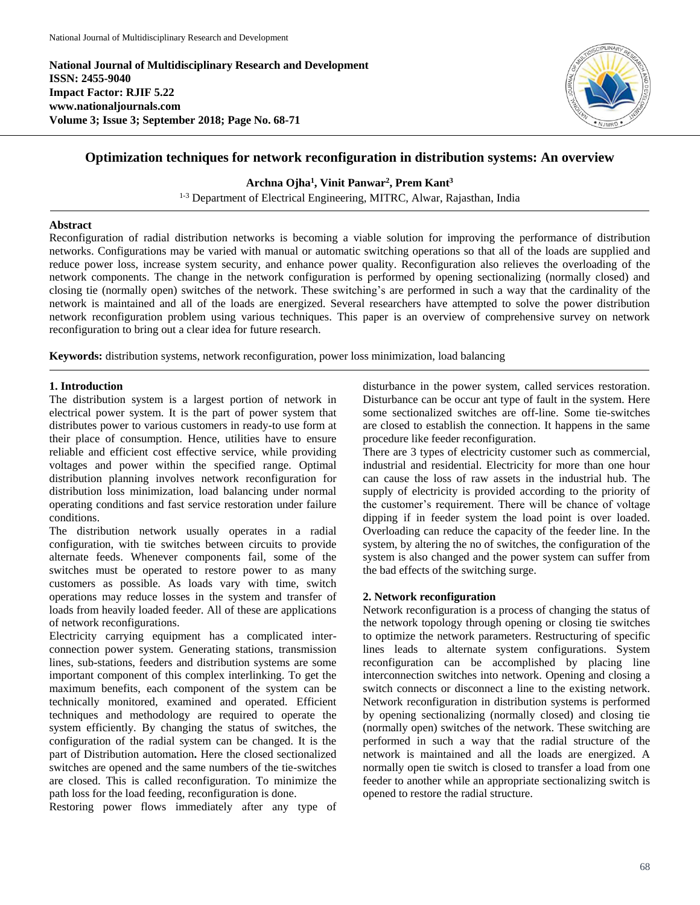**National Journal of Multidisciplinary Research and Development ISSN: 2455-9040 Impact Factor: RJIF 5.22 www.nationaljournals.com Volume 3; Issue 3; September 2018; Page No. 68-71**



# **Optimization techniques for network reconfiguration in distribution systems: An overview**

**Archna Ojha<sup>1</sup> , Vinit Panwar<sup>2</sup> , Prem Kant<sup>3</sup>**

<sup>1-3</sup> Department of Electrical Engineering, MITRC, Alwar, Rajasthan, India

# **Abstract**

Reconfiguration of radial distribution networks is becoming a viable solution for improving the performance of distribution networks. Configurations may be varied with manual or automatic switching operations so that all of the loads are supplied and reduce power loss, increase system security, and enhance power quality. Reconfiguration also relieves the overloading of the network components. The change in the network configuration is performed by opening sectionalizing (normally closed) and closing tie (normally open) switches of the network. These switching's are performed in such a way that the cardinality of the network is maintained and all of the loads are energized. Several researchers have attempted to solve the power distribution network reconfiguration problem using various techniques. This paper is an overview of comprehensive survey on network reconfiguration to bring out a clear idea for future research.

**Keywords:** distribution systems, network reconfiguration, power loss minimization, load balancing

## **1. Introduction**

The distribution system is a largest portion of network in electrical power system. It is the part of power system that distributes power to various customers in ready-to use form at their place of consumption. Hence, utilities have to ensure reliable and efficient cost effective service, while providing voltages and power within the specified range. Optimal distribution planning involves network reconfiguration for distribution loss minimization, load balancing under normal operating conditions and fast service restoration under failure conditions.

The distribution network usually operates in a radial configuration, with tie switches between circuits to provide alternate feeds. Whenever components fail, some of the switches must be operated to restore power to as many customers as possible. As loads vary with time, switch operations may reduce losses in the system and transfer of loads from heavily loaded feeder. All of these are applications of network reconfigurations.

Electricity carrying equipment has a complicated interconnection power system. Generating stations, transmission lines, sub-stations, feeders and distribution systems are some important component of this complex interlinking. To get the maximum benefits, each component of the system can be technically monitored, examined and operated. Efficient techniques and methodology are required to operate the system efficiently. By changing the status of switches, the configuration of the radial system can be changed. It is the part of Distribution automation**.** Here the closed sectionalized switches are opened and the same numbers of the tie-switches are closed. This is called reconfiguration. To minimize the path loss for the load feeding, reconfiguration is done.

Restoring power flows immediately after any type of

disturbance in the power system, called services restoration. Disturbance can be occur ant type of fault in the system. Here some sectionalized switches are off-line. Some tie-switches are closed to establish the connection. It happens in the same procedure like feeder reconfiguration.

There are 3 types of electricity customer such as commercial, industrial and residential. Electricity for more than one hour can cause the loss of raw assets in the industrial hub. The supply of electricity is provided according to the priority of the customer's requirement. There will be chance of voltage dipping if in feeder system the load point is over loaded. Overloading can reduce the capacity of the feeder line. In the system, by altering the no of switches, the configuration of the system is also changed and the power system can suffer from the bad effects of the switching surge.

## **2. Network reconfiguration**

Network reconfiguration is a process of changing the status of the network topology through opening or closing tie switches to optimize the network parameters. Restructuring of specific lines leads to alternate system configurations. System reconfiguration can be accomplished by placing line interconnection switches into network. Opening and closing a switch connects or disconnect a line to the existing network. Network reconfiguration in distribution systems is performed by opening sectionalizing (normally closed) and closing tie (normally open) switches of the network. These switching are performed in such a way that the radial structure of the network is maintained and all the loads are energized. A normally open tie switch is closed to transfer a load from one feeder to another while an appropriate sectionalizing switch is opened to restore the radial structure.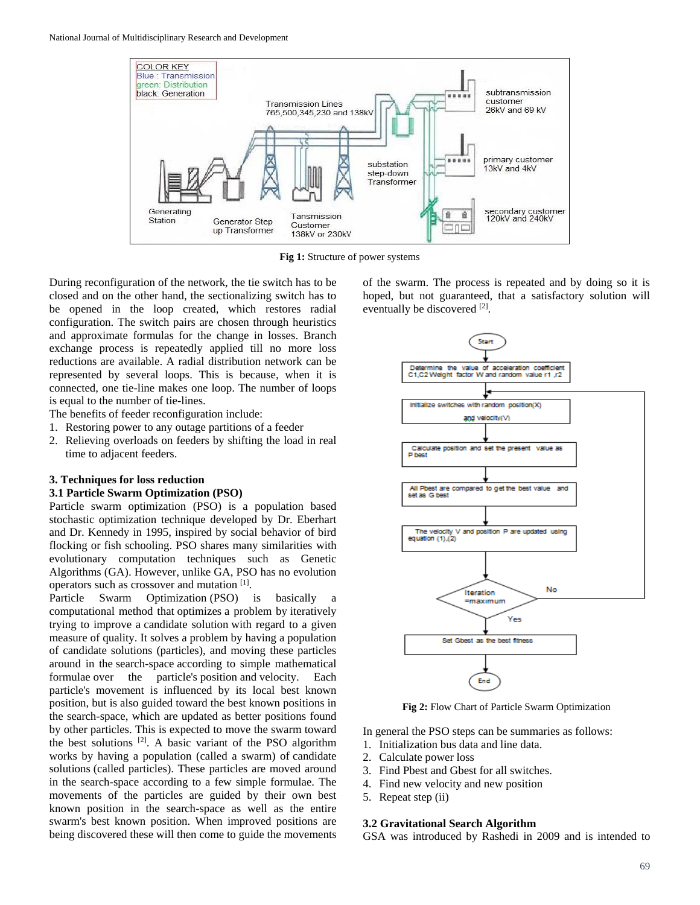

**Fig 1:** Structure of power systems

During reconfiguration of the network, the tie switch has to be closed and on the other hand, the sectionalizing switch has to be opened in the loop created, which restores radial configuration. The switch pairs are chosen through heuristics and approximate formulas for the change in losses. Branch exchange process is repeatedly applied till no more loss reductions are available. A radial distribution network can be represented by several loops. This is because, when it is connected, one tie-line makes one loop. The number of loops is equal to the number of tie-lines.

The benefits of feeder reconfiguration include:

- 1. Restoring power to any outage partitions of a feeder
- 2. Relieving overloads on feeders by shifting the load in real time to adjacent feeders.

# **3. Techniques for loss reduction**

#### **3.1 Particle Swarm Optimization (PSO)**

Particle swarm optimization (PSO) is a population based stochastic optimization technique developed by Dr. Eberhart and Dr. Kennedy in 1995, inspired by social behavior of bird flocking or fish schooling. PSO shares many similarities with evolutionary computation techniques such as Genetic Algorithms (GA). However, unlike GA, PSO has no evolution operators such as crossover and mutation [1] .

Particle Swarm Optimization (PSO) is basically a computational method that optimizes a problem by iteratively trying to improve a candidate solution with regard to a given measure of quality. It solves a problem by having a population of candidate solutions (particles), and moving these particles around in the search-space according to simple mathematical formulae over the particle's position and velocity. Each particle's movement is influenced by its local best known position, but is also guided toward the best known positions in the search-space, which are updated as better positions found by other particles. This is expected to move the swarm toward the best solutions <sup>[2]</sup>. A basic variant of the PSO algorithm works by having a population (called a swarm) of candidate solutions (called particles). These particles are moved around in the search-space according to a few simple formulae. The movements of the particles are guided by their own best known position in the search-space as well as the entire swarm's best known position. When improved positions are being discovered these will then come to guide the movements

of the swarm. The process is repeated and by doing so it is hoped, but not guaranteed, that a satisfactory solution will eventually be discovered [2].



**Fig 2:** Flow Chart of Particle Swarm Optimization

In general the PSO steps can be summaries as follows:

- 1. Initialization bus data and line data.
- 2. Calculate power loss
- 3. Find Pbest and Gbest for all switches.
- 4. Find new velocity and new position
- 5. Repeat step (ii)

#### **3.2 Gravitational Search Algorithm**

GSA was introduced by Rashedi in 2009 and is intended to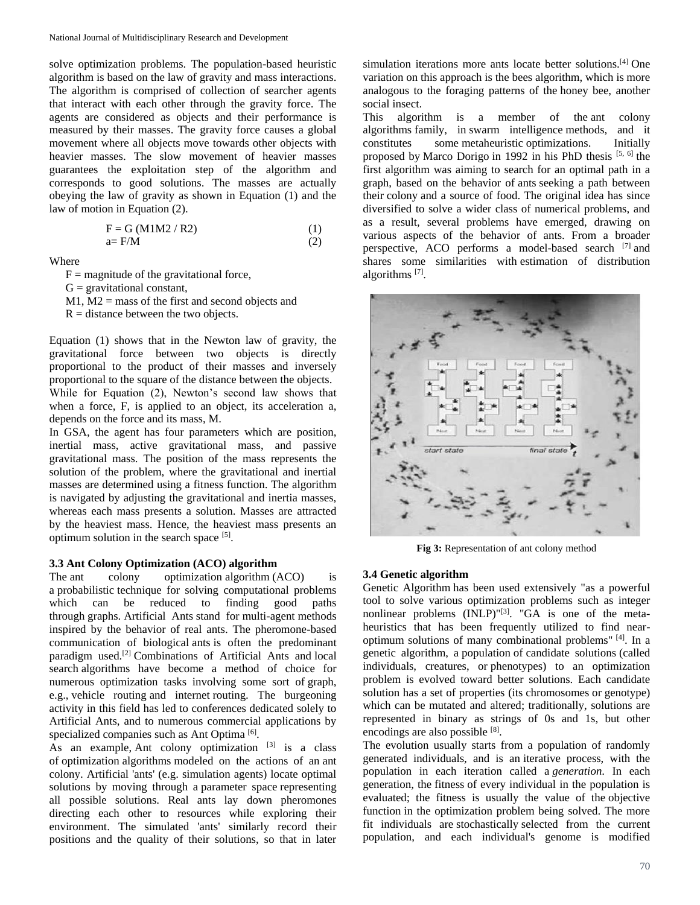solve optimization problems. The population-based heuristic algorithm is based on the law of gravity and mass interactions. The algorithm is comprised of collection of searcher agents that interact with each other through the gravity force. The agents are considered as objects and their performance is measured by their masses. The gravity force causes a global movement where all objects move towards other objects with heavier masses. The slow movement of heavier masses guarantees the exploitation step of the algorithm and corresponds to good solutions. The masses are actually obeying the law of gravity as shown in Equation (1) and the law of motion in Equation (2).

$$
F = G (M1M2 / R2)
$$
  
\n
$$
a = F/M
$$
 (2)

Where

 $F =$  magnitude of the gravitational force,

 $G =$  gravitational constant,

 $M1$ ,  $M2$  = mass of the first and second objects and

 $R =$  distance between the two objects.

Equation (1) shows that in the Newton law of gravity, the gravitational force between two objects is directly proportional to the product of their masses and inversely proportional to the square of the distance between the objects. While for Equation (2), Newton's second law shows that when a force, F, is applied to an object, its acceleration a, depends on the force and its mass, M.

In GSA, the agent has four parameters which are position, inertial mass, active gravitational mass, and passive gravitational mass. The position of the mass represents the solution of the problem, where the gravitational and inertial masses are determined using a fitness function. The algorithm is navigated by adjusting the gravitational and inertia masses, whereas each mass presents a solution. Masses are attracted by the heaviest mass. Hence, the heaviest mass presents an optimum solution in the search space [5].

#### **3.3 Ant Colony Optimization (ACO) algorithm**

The ant colony optimization algorithm (ACO) is a probabilistic technique for solving computational problems which can be reduced to finding good paths through graphs. Artificial Ants stand for multi-agent methods inspired by the behavior of real ants. The pheromone-based communication of biological ants is often the predominant paradigm used.[2] Combinations of Artificial Ants and local search algorithms have become a method of choice for numerous optimization tasks involving some sort of graph, e.g., vehicle routing and internet routing. The burgeoning activity in this field has led to conferences dedicated solely to Artificial Ants, and to numerous commercial applications by specialized companies such as Ant Optima<sup>[6]</sup>.

As an example, Ant colony optimization  $[3]$  is a class of optimization algorithms modeled on the actions of an ant colony. Artificial 'ants' (e.g. simulation agents) locate optimal solutions by moving through a parameter space representing all possible solutions. Real ants lay down pheromones directing each other to resources while exploring their environment. The simulated 'ants' similarly record their positions and the quality of their solutions, so that in later simulation iterations more ants locate better solutions.<sup>[4]</sup> One variation on this approach is the bees algorithm, which is more analogous to the foraging patterns of the honey bee, another social insect.

This algorithm is a member of the ant colony algorithms family, in swarm intelligence methods, and it constitutes some metaheuristic optimizations. Initially proposed by Marco Dorigo in 1992 in his PhD thesis  $[5, 6]$  the first algorithm was aiming to search for an optimal path in a graph, based on the behavior of ants seeking a path between their colony and a source of food. The original idea has since diversified to solve a wider class of numerical problems, and as a result, several problems have emerged, drawing on various aspects of the behavior of ants. From a broader perspective, ACO performs a model-based search [7] and shares some similarities with estimation of distribution algorithms<sup>[7]</sup>.



**Fig 3:** Representation of ant colony method

#### **3.4 Genetic algorithm**

Genetic Algorithm has been used extensively "as a powerful tool to solve various optimization problems such as integer nonlinear problems  $(INLP)^{n[3]}$ . "GA is one of the metaheuristics that has been frequently utilized to find nearoptimum solutions of many combinational problems" [4]. In a genetic algorithm, a population of candidate solutions (called individuals, creatures, or phenotypes) to an optimization problem is evolved toward better solutions. Each candidate solution has a set of properties (its chromosomes or genotype) which can be mutated and altered; traditionally, solutions are represented in binary as strings of 0s and 1s, but other encodings are also possible [8].

The evolution usually starts from a population of randomly generated individuals, and is an iterative process, with the population in each iteration called a *generation*. In each generation, the fitness of every individual in the population is evaluated; the fitness is usually the value of the objective function in the optimization problem being solved. The more fit individuals are stochastically selected from the current population, and each individual's genome is modified